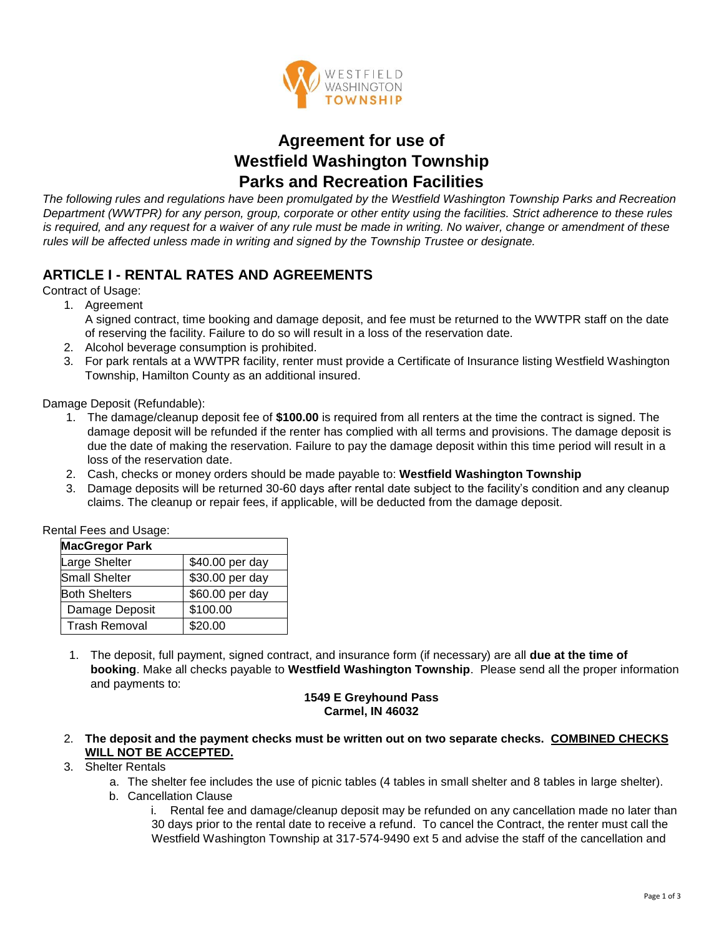

# **Agreement for use of Westfield Washington Township Parks and Recreation Facilities**

*The following rules and regulations have been promulgated by the Westfield Washington Township Parks and Recreation Department (WWTPR) for any person, group, corporate or other entity using the facilities. Strict adherence to these rules is required, and any request for a waiver of any rule must be made in writing. No waiver, change or amendment of these rules will be affected unless made in writing and signed by the Township Trustee or designate.* 

# **ARTICLE I - RENTAL RATES AND AGREEMENTS**

Contract of Usage:

1. Agreement

A signed contract, time booking and damage deposit, and fee must be returned to the WWTPR staff on the date of reserving the facility. Failure to do so will result in a loss of the reservation date.

- 2. Alcohol beverage consumption is prohibited.
- 3. For park rentals at a WWTPR facility, renter must provide a Certificate of Insurance listing Westfield Washington Township, Hamilton County as an additional insured.

Damage Deposit (Refundable):

- 1. The damage/cleanup deposit fee of **\$100.00** is required from all renters at the time the contract is signed. The damage deposit will be refunded if the renter has complied with all terms and provisions. The damage deposit is due the date of making the reservation. Failure to pay the damage deposit within this time period will result in a loss of the reservation date.
- 2. Cash, checks or money orders should be made payable to: **Westfield Washington Township**
- 3. Damage deposits will be returned 30-60 days after rental date subject to the facility's condition and any cleanup claims. The cleanup or repair fees, if applicable, will be deducted from the damage deposit.

| Rental Fees and Usage: |                 |
|------------------------|-----------------|
| <b>MacGregor Park</b>  |                 |
| Large Shelter          | \$40.00 per day |
| <b>Small Shelter</b>   | \$30.00 per day |
| <b>Both Shelters</b>   | \$60.00 per day |
| Damage Deposit         | \$100.00        |
| <b>Trash Removal</b>   | \$20.00         |

1. The deposit, full payment, signed contract, and insurance form (if necessary) are all **due at the time of booking**. Make all checks payable to **Westfield Washington Township**. Please send all the proper information and payments to:

#### **1549 E Greyhound Pass Carmel, IN 46032**

2. **The deposit and the payment checks must be written out on two separate checks. COMBINED CHECKS WILL NOT BE ACCEPTED.**

#### 3. Shelter Rentals

- a. The shelter fee includes the use of picnic tables (4 tables in small shelter and 8 tables in large shelter).
- b. Cancellation Clause

i. Rental fee and damage/cleanup deposit may be refunded on any cancellation made no later than 30 days prior to the rental date to receive a refund. To cancel the Contract, the renter must call the Westfield Washington Township at 317-574-9490 ext 5 and advise the staff of the cancellation and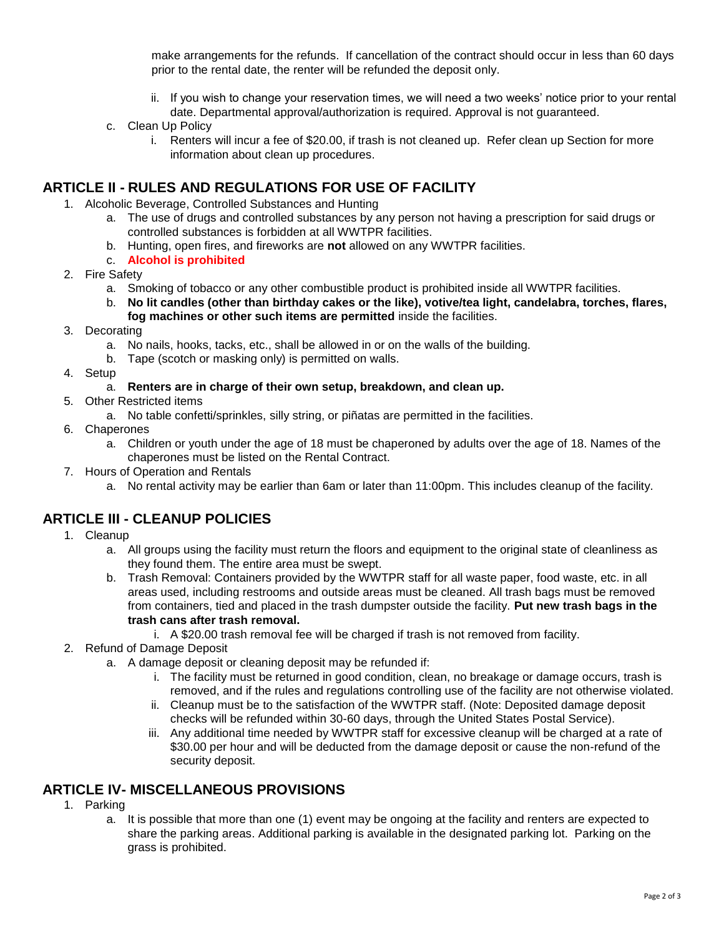make arrangements for the refunds. If cancellation of the contract should occur in less than 60 days prior to the rental date, the renter will be refunded the deposit only.

- ii. If you wish to change your reservation times, we will need a two weeks' notice prior to your rental date. Departmental approval/authorization is required. Approval is not guaranteed.
- c. Clean Up Policy
	- i. Renters will incur a fee of \$20.00, if trash is not cleaned up. Refer clean up Section for more information about clean up procedures.

### **ARTICLE II - RULES AND REGULATIONS FOR USE OF FACILITY**

- 1. Alcoholic Beverage, Controlled Substances and Hunting
	- a. The use of drugs and controlled substances by any person not having a prescription for said drugs or controlled substances is forbidden at all WWTPR facilities.
	- b. Hunting, open fires, and fireworks are **not** allowed on any WWTPR facilities.
	- c. **Alcohol is prohibited**
- 2. Fire Safety
	- a. Smoking of tobacco or any other combustible product is prohibited inside all WWTPR facilities.
	- b. **No lit candles (other than birthday cakes or the like), votive/tea light, candelabra, torches, flares, fog machines or other such items are permitted** inside the facilities.
- 3. Decorating
	- a. No nails, hooks, tacks, etc., shall be allowed in or on the walls of the building.
	- b. Tape (scotch or masking only) is permitted on walls.
- 4. Setup

#### a. **Renters are in charge of their own setup, breakdown, and clean up.**

- 5. Other Restricted items
	- a. No table confetti/sprinkles, silly string, or piñatas are permitted in the facilities.
- 6. Chaperones
	- a. Children or youth under the age of 18 must be chaperoned by adults over the age of 18. Names of the chaperones must be listed on the Rental Contract.
- 7. Hours of Operation and Rentals
	- a. No rental activity may be earlier than 6am or later than 11:00pm. This includes cleanup of the facility.

### **ARTICLE III - CLEANUP POLICIES**

- 1. Cleanup
	- a. All groups using the facility must return the floors and equipment to the original state of cleanliness as they found them. The entire area must be swept.
	- b. Trash Removal: Containers provided by the WWTPR staff for all waste paper, food waste, etc. in all areas used, including restrooms and outside areas must be cleaned. All trash bags must be removed from containers, tied and placed in the trash dumpster outside the facility. **Put new trash bags in the trash cans after trash removal.**
		- i. A \$20.00 trash removal fee will be charged if trash is not removed from facility.
- 2. Refund of Damage Deposit
	- a. A damage deposit or cleaning deposit may be refunded if:
		- i. The facility must be returned in good condition, clean, no breakage or damage occurs, trash is removed, and if the rules and regulations controlling use of the facility are not otherwise violated.
		- ii. Cleanup must be to the satisfaction of the WWTPR staff. (Note: Deposited damage deposit checks will be refunded within 30-60 days, through the United States Postal Service).
		- iii. Any additional time needed by WWTPR staff for excessive cleanup will be charged at a rate of \$30.00 per hour and will be deducted from the damage deposit or cause the non-refund of the security deposit.

### **ARTICLE IV- MISCELLANEOUS PROVISIONS**

- 1. Parking
	- a. It is possible that more than one (1) event may be ongoing at the facility and renters are expected to share the parking areas. Additional parking is available in the designated parking lot. Parking on the grass is prohibited.